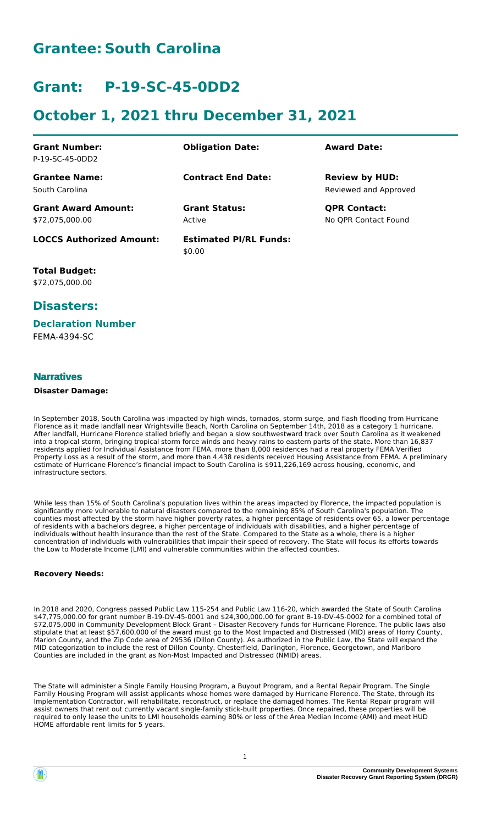# **Grantee: South Carolina**

# **Grant: P-19-SC-45-0DD2**

# **October 1, 2021 thru December 31, 2021**

| <b>Grant Number:</b>            |                               | <b>Award Date:</b>    |
|---------------------------------|-------------------------------|-----------------------|
| P-19-SC-45-0DD2                 | <b>Obligation Date:</b>       |                       |
|                                 |                               |                       |
| <b>Grantee Name:</b>            | <b>Contract End Date:</b>     | <b>Review by HUD:</b> |
| South Carolina                  |                               | Reviewed and Approved |
| <b>Grant Award Amount:</b>      | <b>Grant Status:</b>          | <b>QPR Contact:</b>   |
| \$72,075,000.00                 | Active                        | No OPR Contact Found  |
| <b>LOCCS Authorized Amount:</b> | <b>Estimated PI/RL Funds:</b> |                       |
|                                 | \$0.00                        |                       |

**Total Budget:** \$72,075,000.00

### **Disasters:**

#### **Declaration Number**

FEMA-4394-SC

#### **Narratives**

#### **Disaster Damage:**

In September 2018, South Carolina was impacted by high winds, tornados, storm surge, and flash flooding from Hurricane Florence as it made landfall near Wrightsville Beach, North Carolina on September 14th, 2018 as a category 1 hurricane. After landfall, Hurricane Florence stalled briefly and began a slow southwestward track over South Carolina as it weakened into a tropical storm, bringing tropical storm force winds and heavy rains to eastern parts of the state. More than 16,837 residents applied for Individual Assistance from FEMA, more than 8,000 residences had a real property FEMA Verified Property Loss as a result of the storm, and more than 4,438 residents received Housing Assistance from FEMA. A preliminary estimate of Hurricane Florence's financial impact to South Carolina is \$911,226,169 across housing, economic, and infrastructure sectors.

While less than 15% of South Carolina's population lives within the areas impacted by Florence, the impacted population is significantly more vulnerable to natural disasters compared to the remaining 85% of South Carolina's population. The counties most affected by the storm have higher poverty rates, a higher percentage of residents over 65, a lower percentage of residents with a bachelors degree, a higher percentage of individuals with disabilities, and a higher percentage of individuals without health insurance than the rest of the State. Compared to the State as a whole, there is a higher concentration of individuals with vulnerabilities that impair their speed of recovery. The State will focus its efforts towards the Low to Moderate Income (LMI) and vulnerable communities within the affected counties.

#### **Recovery Needs:**

In 2018 and 2020, Congress passed Public Law 115-254 and Public Law 116-20, which awarded the State of South Carolina \$47,775,000.00 for grant number B-19-DV-45-0001 and \$24,300,000.00 for grant B-19-DV-45-0002 for a combined total of \$72,075,000 in Community Development Block Grant – Disaster Recovery funds for Hurricane Florence. The public laws also stipulate that at least \$57,600,000 of the award must go to the Most Impacted and Distressed (MID) areas of Horry County, Marion County, and the Zip Code area of 29536 (Dillon County). As authorized in the Public Law, the State will expand the MID categorization to include the rest of Dillon County. Chesterfield, Darlington, Florence, Georgetown, and Marlboro Counties are included in the grant as Non-Most Impacted and Distressed (NMID) areas.

The State will administer a Single Family Housing Program, a Buyout Program, and a Rental Repair Program. The Single Family Housing Program will assist applicants whose homes were damaged by Hurricane Florence. The State, through its Implementation Contractor, will rehabilitate, reconstruct, or replace the damaged homes. The Rental Repair program will assist owners that rent out currently vacant single-family stick-built properties. Once repaired, these properties will be required to only lease the units to LMI households earning 80% or less of the Area Median Income (AMI) and meet HUD HOME affordable rent limits for 5 years.

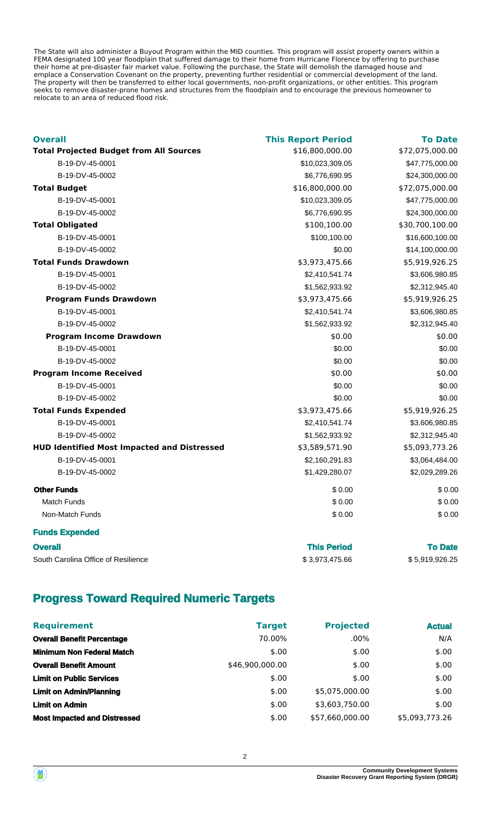The State will also administer a Buyout Program within the MID counties. This program will assist property owners within a FEMA designated 100 year floodplain that suffered damage to their home from Hurricane Florence by offering to purchase their home at pre-disaster fair market value. Following the purchase, the State will demolish the damaged house and emplace a Conservation Covenant on the property, preventing further residential or commercial development of the land. The property will then be transferred to either local governments, non-profit organizations, or other entities. This program seeks to remove disaster-prone homes and structures from the floodplain and to encourage the previous homeowner to relocate to an area of reduced flood risk.

| <b>Overall</b>                                     | <b>This Report Period</b> | <b>To Date</b>  |
|----------------------------------------------------|---------------------------|-----------------|
| <b>Total Projected Budget from All Sources</b>     | \$16,800,000.00           | \$72,075,000.00 |
| B-19-DV-45-0001                                    | \$10,023,309.05           | \$47,775,000.00 |
| B-19-DV-45-0002                                    | \$6,776,690.95            | \$24,300,000.00 |
| <b>Total Budget</b>                                | \$16,800,000.00           | \$72,075,000.00 |
| B-19-DV-45-0001                                    | \$10,023,309.05           | \$47,775,000.00 |
| B-19-DV-45-0002                                    | \$6,776,690.95            | \$24,300,000.00 |
| <b>Total Obligated</b>                             | \$100,100.00              | \$30,700,100.00 |
| B-19-DV-45-0001                                    | \$100,100.00              | \$16,600,100.00 |
| B-19-DV-45-0002                                    | \$0.00                    | \$14,100,000.00 |
| <b>Total Funds Drawdown</b>                        | \$3,973,475.66            | \$5,919,926.25  |
| B-19-DV-45-0001                                    | \$2,410,541.74            | \$3,606,980.85  |
| B-19-DV-45-0002                                    | \$1,562,933.92            | \$2,312,945.40  |
| <b>Program Funds Drawdown</b>                      | \$3,973,475.66            | \$5,919,926.25  |
| B-19-DV-45-0001                                    | \$2,410,541.74            | \$3,606,980.85  |
| B-19-DV-45-0002                                    | \$1,562,933.92            | \$2,312,945.40  |
| <b>Program Income Drawdown</b>                     | \$0.00                    | \$0.00          |
| B-19-DV-45-0001                                    | \$0.00                    | \$0.00          |
| B-19-DV-45-0002                                    | \$0.00                    | \$0.00          |
| <b>Program Income Received</b>                     | \$0.00                    | \$0.00          |
| B-19-DV-45-0001                                    | \$0.00                    | \$0.00          |
| B-19-DV-45-0002                                    | \$0.00                    | \$0.00          |
| <b>Total Funds Expended</b>                        | \$3,973,475.66            | \$5,919,926.25  |
| B-19-DV-45-0001                                    | \$2,410,541.74            | \$3,606,980.85  |
| B-19-DV-45-0002                                    | \$1,562,933.92            | \$2,312,945.40  |
| <b>HUD Identified Most Impacted and Distressed</b> | \$3,589,571.90            | \$5,093,773.26  |
| B-19-DV-45-0001                                    | \$2,160,291.83            | \$3,064,484.00  |
| B-19-DV-45-0002                                    | \$1,429,280.07            | \$2,029,289.26  |
| <b>Other Funds</b>                                 | \$0.00                    | \$0.00          |
| <b>Match Funds</b>                                 | \$0.00                    | \$0.00          |
| Non-Match Funds                                    | \$0.00                    | \$0.00          |
| <b>Funds Expended</b>                              |                           |                 |

| <b>Overall</b>                      | <b>This Period</b> | <b>To Date</b> |
|-------------------------------------|--------------------|----------------|
| South Carolina Office of Resilience | \$3.973.475.66     | \$5,919,926.25 |

### **Progress Toward Required Numeric Targets**

| <b>Requirement</b>                  | <b>Target</b>   | <b>Projected</b> | <b>Actual</b>  |
|-------------------------------------|-----------------|------------------|----------------|
| <b>Overall Benefit Percentage</b>   | 70.00%          | $.00\%$          | N/A            |
| <b>Minimum Non Federal Match</b>    | \$.00           | \$.00            | \$.00          |
| <b>Overall Benefit Amount</b>       | \$46,900,000.00 | \$.00            | \$.00          |
| <b>Limit on Public Services</b>     | \$.00           | \$.00            | \$.00          |
| <b>Limit on Admin/Planning</b>      | \$.00           | \$5,075,000.00   | \$.00          |
| <b>Limit on Admin</b>               | \$.00           | \$3,603,750.00   | \$.00          |
| <b>Most Impacted and Distressed</b> | \$.00           | \$57,660,000.00  | \$5,093,773.26 |

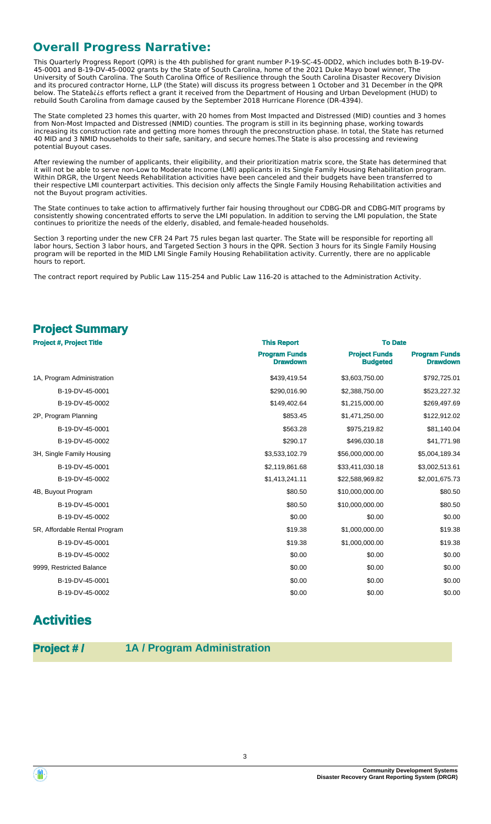## **Overall Progress Narrative:**

This Quarterly Progress Report (QPR) is the 4th published for grant number P-19-SC-45-0DD2, which includes both B-19-DV-45-0001 and B-19-DV-45-0002 grants by the State of South Carolina, home of the 2021 Duke Mayo bowl winner, The University of South Carolina. The South Carolina Office of Resilience through the South Carolina Disaster Recovery Division and its procured contractor Horne, LLP (the State) will discuss its progress between 1 October and 31 December in the QPR below. The Stateâ¿¿s efforts reflect a grant it received from the Department of Housing and Urban Development (HUD) to rebuild South Carolina from damage caused by the September 2018 Hurricane Florence (DR-4394).

The State completed 23 homes this quarter, with 20 homes from Most Impacted and Distressed (MID) counties and 3 homes from Non-Most Impacted and Distressed (NMID) counties. The program is still in its beginning phase, working towards increasing its construction rate and getting more homes through the preconstruction phase. In total, the State has returned 40 MID and 3 NMID households to their safe, sanitary, and secure homes.The State is also processing and reviewing potential Buyout cases.

After reviewing the number of applicants, their eligibility, and their prioritization matrix score, the State has determined that it will not be able to serve non-Low to Moderate Income (LMI) applicants in its Single Family Housing Rehabilitation program. Within DRGR, the Urgent Needs Rehabilitation activities have been canceled and their budgets have been transferred to their respective LMI counterpart activities. This decision only affects the Single Family Housing Rehabilitation activities and not the Buyout program activities.

The State continues to take action to affirmatively further fair housing throughout our CDBG-DR and CDBG-MIT programs by consistently showing concentrated efforts to serve the LMI population. In addition to serving the LMI population, the State continues to prioritize the needs of the elderly, disabled, and female-headed households.

Section 3 reporting under the new CFR 24 Part 75 rules began last quarter. The State will be responsible for reporting all labor hours, Section 3 labor hours, and Targeted Section 3 hours in the QPR. Section 3 hours for its Single Family Housing program will be reported in the MID LMI Single Family Housing Rehabilitation activity. Currently, there are no applicable hours to report.

The contract report required by Public Law 115-254 and Public Law 116-20 is attached to the Administration Activity.

### **Project Summary**

| <b>Project #, Project Title</b> | <b>This Report</b>                      | <b>To Date</b>                          |                                         |  |
|---------------------------------|-----------------------------------------|-----------------------------------------|-----------------------------------------|--|
|                                 | <b>Program Funds</b><br><b>Drawdown</b> | <b>Project Funds</b><br><b>Budgeted</b> | <b>Program Funds</b><br><b>Drawdown</b> |  |
| 1A, Program Administration      | \$439,419.54                            | \$3,603,750.00                          | \$792,725.01                            |  |
| B-19-DV-45-0001                 | \$290,016.90                            | \$2,388,750.00                          | \$523,227.32                            |  |
| B-19-DV-45-0002                 | \$149,402.64                            | \$1,215,000.00                          | \$269,497.69                            |  |
| 2P, Program Planning            | \$853.45                                | \$1,471,250.00                          | \$122,912.02                            |  |
| B-19-DV-45-0001                 | \$563.28                                | \$975,219.82                            | \$81,140.04                             |  |
| B-19-DV-45-0002                 | \$290.17                                | \$496,030.18                            | \$41,771.98                             |  |
| 3H, Single Family Housing       | \$3,533,102.79                          | \$56,000,000.00                         | \$5,004,189.34                          |  |
| B-19-DV-45-0001                 | \$2,119,861.68                          | \$33,411,030.18                         | \$3,002,513.61                          |  |
| B-19-DV-45-0002                 | \$1,413,241.11                          | \$22,588,969.82                         | \$2,001,675.73                          |  |
| 4B, Buyout Program              | \$80.50                                 | \$10,000,000.00                         | \$80.50                                 |  |
| B-19-DV-45-0001                 | \$80.50                                 | \$10,000,000.00                         | \$80.50                                 |  |
| B-19-DV-45-0002                 | \$0.00                                  | \$0.00                                  | \$0.00                                  |  |
| 5R, Affordable Rental Program   | \$19.38                                 | \$1,000,000.00                          | \$19.38                                 |  |
| B-19-DV-45-0001                 | \$19.38                                 | \$1,000,000.00                          | \$19.38                                 |  |
| B-19-DV-45-0002                 | \$0.00                                  | \$0.00                                  | \$0.00                                  |  |
| 9999, Restricted Balance        | \$0.00                                  | \$0.00                                  | \$0.00                                  |  |
| B-19-DV-45-0001                 | \$0.00                                  | \$0.00                                  | \$0.00                                  |  |
| B-19-DV-45-0002                 | \$0.00                                  | \$0.00                                  | \$0.00                                  |  |

# **Activities**

**Project # / 1A / Program Administration**

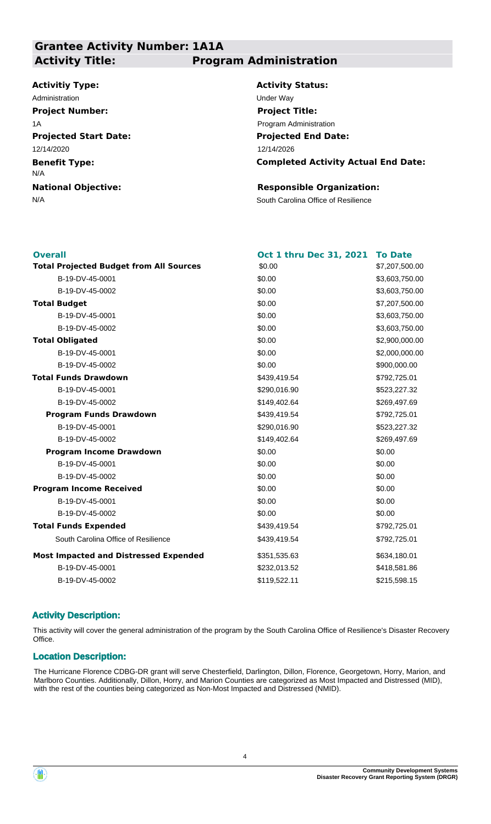### **Grantee Activity Number: 1A1A Activity Title: Program Administration**

### **Activitiy Type:**

**Projected Start Date: Benefit Type: National Objective:** 12/14/2020 N/A Administration **Under Way Project Number:** 1A

**Activity Status: Projected End Date: Completed Activity Actual End Date:** 12/14/2026 **Project Title:** Program Administration

#### **Responsible Organization:**

N/A South Carolina Office of Resilience

| <b>Overall</b>                                 | <b>Oct 1 thru Dec 31, 2021</b> | <b>To Date</b> |
|------------------------------------------------|--------------------------------|----------------|
| <b>Total Projected Budget from All Sources</b> | \$0.00                         | \$7,207,500.00 |
| B-19-DV-45-0001                                | \$0.00                         | \$3,603,750.00 |
| B-19-DV-45-0002                                | \$0.00                         | \$3,603,750.00 |
| <b>Total Budget</b>                            | \$0.00                         | \$7,207,500.00 |
| B-19-DV-45-0001                                | \$0.00                         | \$3,603,750.00 |
| B-19-DV-45-0002                                | \$0.00                         | \$3,603,750.00 |
| <b>Total Obligated</b>                         | \$0.00                         | \$2,900,000.00 |
| B-19-DV-45-0001                                | \$0.00                         | \$2,000,000.00 |
| B-19-DV-45-0002                                | \$0.00                         | \$900,000.00   |
| <b>Total Funds Drawdown</b>                    | \$439,419.54                   | \$792,725.01   |
| B-19-DV-45-0001                                | \$290,016.90                   | \$523,227.32   |
| B-19-DV-45-0002                                | \$149,402.64                   | \$269,497.69   |
| <b>Program Funds Drawdown</b>                  | \$439,419.54                   | \$792,725.01   |
| B-19-DV-45-0001                                | \$290,016.90                   | \$523,227.32   |
| B-19-DV-45-0002                                | \$149,402.64                   | \$269,497.69   |
| <b>Program Income Drawdown</b>                 | \$0.00                         | \$0.00         |
| B-19-DV-45-0001                                | \$0.00                         | \$0.00         |
| B-19-DV-45-0002                                | \$0.00                         | \$0.00         |
| <b>Program Income Received</b>                 | \$0.00                         | \$0.00         |
| B-19-DV-45-0001                                | \$0.00                         | \$0.00         |
| B-19-DV-45-0002                                | \$0.00                         | \$0.00         |
| <b>Total Funds Expended</b>                    | \$439,419.54                   | \$792,725.01   |
| South Carolina Office of Resilience            | \$439,419.54                   | \$792,725.01   |
| <b>Most Impacted and Distressed Expended</b>   | \$351,535.63                   | \$634,180.01   |
| B-19-DV-45-0001                                | \$232,013.52                   | \$418,581.86   |
| B-19-DV-45-0002                                | \$119,522.11                   | \$215,598.15   |
|                                                |                                |                |

#### **Activity Description:**

This activity will cover the general administration of the program by the South Carolina Office of Resilience's Disaster Recovery Office.

#### **Location Description:**

The Hurricane Florence CDBG-DR grant will serve Chesterfield, Darlington, Dillon, Florence, Georgetown, Horry, Marion, and Marlboro Counties. Additionally, Dillon, Horry, and Marion Counties are categorized as Most Impacted and Distressed (MID), with the rest of the counties being categorized as Non-Most Impacted and Distressed (NMID).

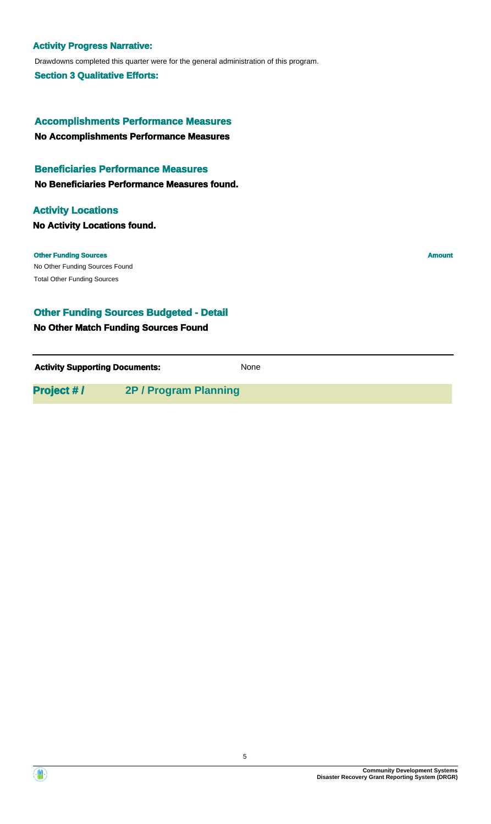#### **Activity Progress Narrative:**

Drawdowns completed this quarter were for the general administration of this program.

**Section 3 Qualitative Efforts:**

**No Accomplishments Performance Measures Accomplishments Performance Measures**

#### **Beneficiaries Performance Measures**

**No Beneficiaries Performance Measures found.**

#### **Activity Locations**

**No Activity Locations found.**

No Other Funding Sources Found **Other Funding Sources Amount** Total Other Funding Sources

### **Other Funding Sources Budgeted - Detail**

#### **No Other Match Funding Sources Found**

**Activity Supporting Documents:** None

**Project # / 2P / Program Planning**

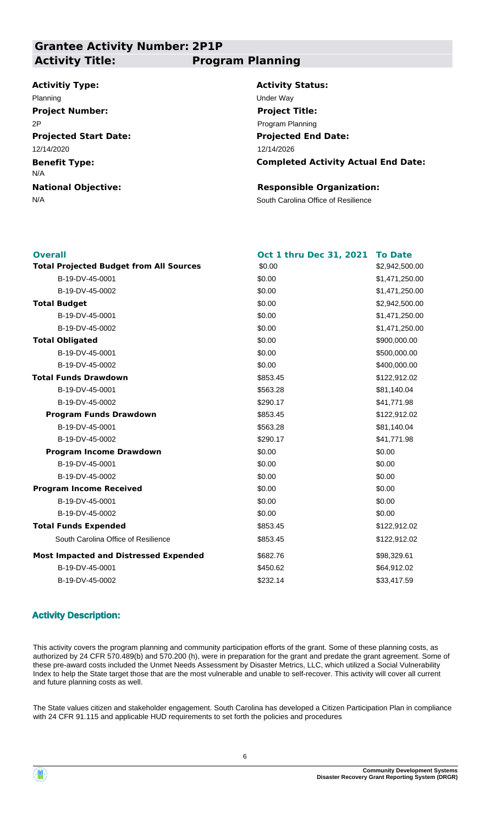### **Grantee Activity Number: 2P1P Activity Title: Program Planning**

#### **Activitiy Type:**

**Projected Start Date: Benefit Type: National Objective:** 12/14/2020 N/A Planning Under Way **Project Number:** 2P

**Activity Status: Projected End Date:** 12/14/2026 **Project Title:** Program Planning

**Completed Activity Actual End Date:**

#### **Responsible Organization:**

N/A South Carolina Office of Resilience

| <b>Overall</b>                                 | <b>Oct 1 thru Dec 31, 2021</b> | <b>To Date</b> |
|------------------------------------------------|--------------------------------|----------------|
| <b>Total Projected Budget from All Sources</b> | \$0.00                         | \$2,942,500.00 |
| B-19-DV-45-0001                                | \$0.00                         | \$1,471,250.00 |
| B-19-DV-45-0002                                | \$0.00                         | \$1,471,250.00 |
| <b>Total Budget</b>                            | \$0.00                         | \$2,942,500.00 |
| B-19-DV-45-0001                                | \$0.00                         | \$1,471,250.00 |
| B-19-DV-45-0002                                | \$0.00                         | \$1,471,250.00 |
| <b>Total Obligated</b>                         | \$0.00                         | \$900,000.00   |
| B-19-DV-45-0001                                | \$0.00                         | \$500,000.00   |
| B-19-DV-45-0002                                | \$0.00                         | \$400,000.00   |
| <b>Total Funds Drawdown</b>                    | \$853.45                       | \$122,912.02   |
| B-19-DV-45-0001                                | \$563.28                       | \$81,140.04    |
| B-19-DV-45-0002                                | \$290.17                       | \$41,771.98    |
| <b>Program Funds Drawdown</b>                  | \$853.45                       | \$122,912.02   |
| B-19-DV-45-0001                                | \$563.28                       | \$81,140.04    |
| B-19-DV-45-0002                                | \$290.17                       | \$41,771.98    |
| <b>Program Income Drawdown</b>                 | \$0.00                         | \$0.00         |
| B-19-DV-45-0001                                | \$0.00                         | \$0.00         |
| B-19-DV-45-0002                                | \$0.00                         | \$0.00         |
| <b>Program Income Received</b>                 | \$0.00                         | \$0.00         |
| B-19-DV-45-0001                                | \$0.00                         | \$0.00         |
| B-19-DV-45-0002                                | \$0.00                         | \$0.00         |
| <b>Total Funds Expended</b>                    | \$853.45                       | \$122,912.02   |
| South Carolina Office of Resilience            | \$853.45                       | \$122,912.02   |
| <b>Most Impacted and Distressed Expended</b>   | \$682.76                       | \$98,329.61    |
| B-19-DV-45-0001                                | \$450.62                       | \$64,912.02    |
| B-19-DV-45-0002                                | \$232.14                       | \$33,417.59    |
|                                                |                                |                |

### **Activity Description:**

This activity covers the program planning and community participation efforts of the grant. Some of these planning costs, as authorized by 24 CFR 570.489(b) and 570.200 (h), were in preparation for the grant and predate the grant agreement. Some of these pre-award costs included the Unmet Needs Assessment by Disaster Metrics, LLC, which utilized a Social Vulnerability Index to help the State target those that are the most vulnerable and unable to self-recover. This activity will cover all current and future planning costs as well.

The State values citizen and stakeholder engagement. South Carolina has developed a Citizen Participation Plan in compliance with 24 CFR 91.115 and applicable HUD requirements to set forth the policies and procedures

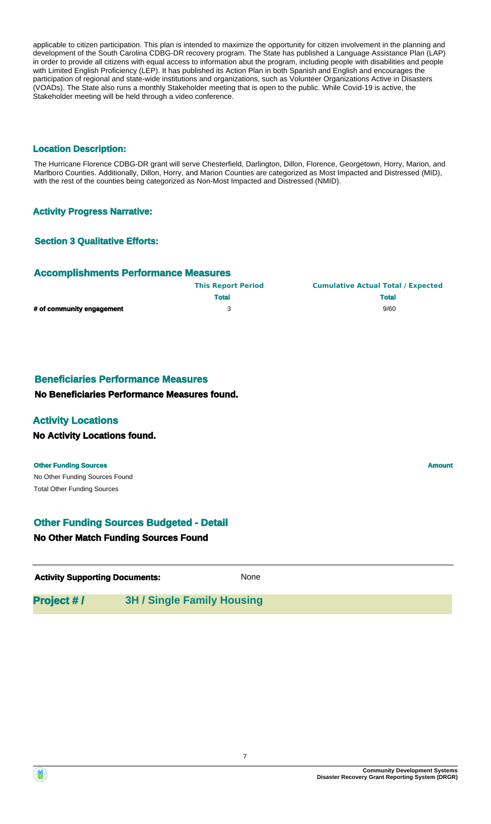applicable to citizen participation. This plan is intended to maximize the opportunity for citizen involvement in the planning and development of the South Carolina CDBG-DR recovery program. The State has published a Language Assistance Plan (LAP) in order to provide all citizens with equal access to information abut the program, including people with disabilities and people with Limited English Proficiency (LEP). It has published its Action Plan in both Spanish and English and encourages the participation of regional and state-wide institutions and organizations, such as Volunteer Organizations Active in Disasters (VOADs). The State also runs a monthly Stakeholder meeting that is open to the public. While Covid-19 is active, the Stakeholder meeting will be held through a video conference.

#### **Location Description:**

The Hurricane Florence CDBG-DR grant will serve Chesterfield, Darlington, Dillon, Florence, Georgetown, Horry, Marion, and Marlboro Counties. Additionally, Dillon, Horry, and Marion Counties are categorized as Most Impacted and Distressed (MID), with the rest of the counties being categorized as Non-Most Impacted and Distressed (NMID).

#### **Activity Progress Narrative:**

#### **Section 3 Qualitative Efforts:**

#### **Accomplishments Performance Measures**

|                           | <b>This Report Period</b> | <b>Cumulative Actual Total / Expected</b> |
|---------------------------|---------------------------|-------------------------------------------|
|                           | <b>Total</b>              | <b>Total</b>                              |
| # of community engagement |                           | 9/60                                      |

#### **Beneficiaries Performance Measures**

#### **No Beneficiaries Performance Measures found.**

#### **Activity Locations**

#### **No Activity Locations found.**

#### **Other Funding Sources Amount Amount Amount Amount Amount Amount Amount**

No Other Funding Sources Found Total Other Funding Sources

### **Other Funding Sources Budgeted - Detail**

#### **No Other Match Funding Sources Found**

**Activity Supporting Documents:** None

### **Project # / 3H / Single Family Housing**

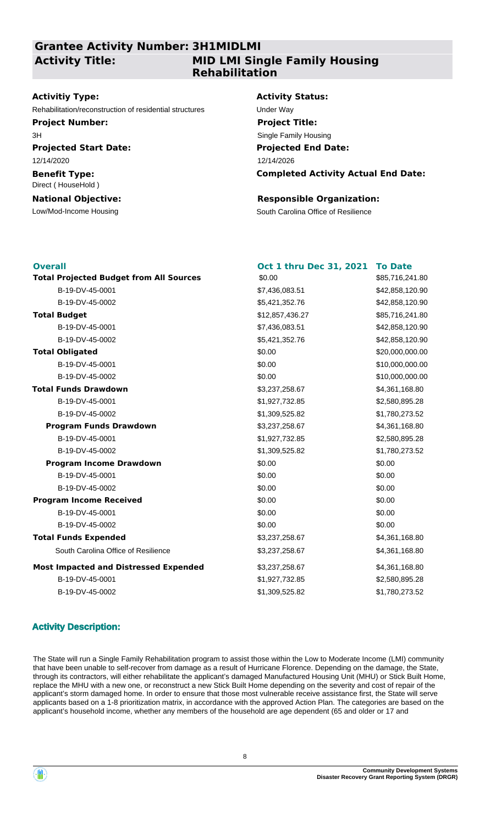### **Grantee Activity Number: 3H1MIDLMI Activity Title:**

### **MID LMI Single Family Housing Rehabilitation**

#### **Activitiy Type:**

Rehabilitation/reconstruction of residential structures Under Way

**Project Number:** 3H

**Projected Start Date:** 12/14/2020

#### **Benefit Type:** Direct ( HouseHold )

**National Objective:**

#### **Activity Status:**

**Projected End Date: Completed Activity Actual End Date:** 12/14/2026 **Project Title:** Single Family Housing

#### **Responsible Organization:**

Low/Mod-Income Housing The South Carolina Office of Resilience

| <b>Overall</b>                                 | Oct 1 thru Dec 31, 2021 | <b>To Date</b>  |
|------------------------------------------------|-------------------------|-----------------|
| <b>Total Projected Budget from All Sources</b> | \$0.00                  | \$85,716,241.80 |
| B-19-DV-45-0001                                | \$7,436,083.51          | \$42,858,120.90 |
| B-19-DV-45-0002                                | \$5,421,352.76          | \$42,858,120.90 |
| <b>Total Budget</b>                            | \$12,857,436.27         | \$85,716,241.80 |
| B-19-DV-45-0001                                | \$7,436,083.51          | \$42,858,120.90 |
| B-19-DV-45-0002                                | \$5,421,352.76          | \$42,858,120.90 |
| <b>Total Obligated</b>                         | \$0.00                  | \$20,000,000.00 |
| B-19-DV-45-0001                                | \$0.00                  | \$10,000,000.00 |
| B-19-DV-45-0002                                | \$0.00                  | \$10,000,000.00 |
| <b>Total Funds Drawdown</b>                    | \$3,237,258.67          | \$4,361,168.80  |
| B-19-DV-45-0001                                | \$1,927,732.85          | \$2,580,895.28  |
| B-19-DV-45-0002                                | \$1,309,525.82          | \$1,780,273.52  |
| <b>Program Funds Drawdown</b>                  | \$3,237,258.67          | \$4,361,168.80  |
| B-19-DV-45-0001                                | \$1,927,732.85          | \$2,580,895.28  |
| B-19-DV-45-0002                                | \$1,309,525.82          | \$1,780,273.52  |
| <b>Program Income Drawdown</b>                 | \$0.00                  | \$0.00          |
| B-19-DV-45-0001                                | \$0.00                  | \$0.00          |
| B-19-DV-45-0002                                | \$0.00                  | \$0.00          |
| <b>Program Income Received</b>                 | \$0.00                  | \$0.00          |
| B-19-DV-45-0001                                | \$0.00                  | \$0.00          |
| B-19-DV-45-0002                                | \$0.00                  | \$0.00          |
| <b>Total Funds Expended</b>                    | \$3,237,258.67          | \$4,361,168.80  |
| South Carolina Office of Resilience            | \$3,237,258.67          | \$4,361,168.80  |
| <b>Most Impacted and Distressed Expended</b>   | \$3,237,258.67          | \$4,361,168.80  |
| B-19-DV-45-0001                                | \$1,927,732.85          | \$2,580,895.28  |
| B-19-DV-45-0002                                | \$1,309,525.82          | \$1,780,273.52  |

### **Activity Description:**

The State will run a Single Family Rehabilitation program to assist those within the Low to Moderate Income (LMI) community that have been unable to self-recover from damage as a result of Hurricane Florence. Depending on the damage, the State, through its contractors, will either rehabilitate the applicant's damaged Manufactured Housing Unit (MHU) or Stick Built Home, replace the MHU with a new one, or reconstruct a new Stick Built Home depending on the severity and cost of repair of the applicant's storm damaged home. In order to ensure that those most vulnerable receive assistance first, the State will serve applicants based on a 1-8 prioritization matrix, in accordance with the approved Action Plan. The categories are based on the applicant's household income, whether any members of the household are age dependent (65 and older or 17 and

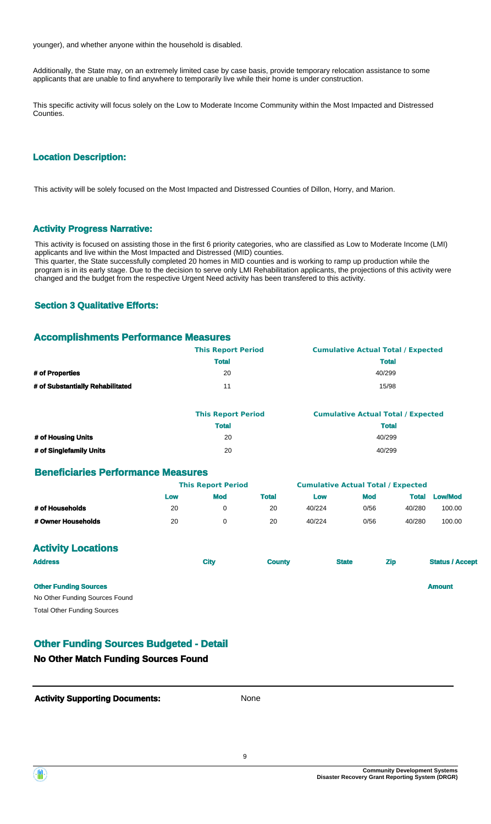younger), and whether anyone within the household is disabled.

Additionally, the State may, on an extremely limited case by case basis, provide temporary relocation assistance to some applicants that are unable to find anywhere to temporarily live while their home is under construction.

This specific activity will focus solely on the Low to Moderate Income Community within the Most Impacted and Distressed Counties.

#### **Location Description:**

This activity will be solely focused on the Most Impacted and Distressed Counties of Dillon, Horry, and Marion.

#### **Activity Progress Narrative:**

This activity is focused on assisting those in the first 6 priority categories, who are classified as Low to Moderate Income (LMI) applicants and live within the Most Impacted and Distressed (MID) counties. This quarter, the State successfully completed 20 homes in MID counties and is working to ramp up production while the program is in its early stage. Due to the decision to serve only LMI Rehabilitation applicants, the projections of this activity were changed and the budget from the respective Urgent Need activity has been transfered to this activity.

#### **Section 3 Qualitative Efforts:**

#### **Accomplishments Performance Measures**

|                                  | <b>This Report Period</b> | <b>Cumulative Actual Total / Expected</b> |
|----------------------------------|---------------------------|-------------------------------------------|
|                                  | <b>Total</b>              | <b>Total</b>                              |
| # of Properties                  | 20                        | 40/299                                    |
| # of Substantially Rehabilitated | 11                        | 15/98                                     |

|                         | <b>This Report Period</b> | <b>Cumulative Actual Total / Expected</b> |
|-------------------------|---------------------------|-------------------------------------------|
|                         | <b>Total</b>              | <b>Total</b>                              |
| # of Housing Units      | 20                        | 40/299                                    |
| # of Singlefamily Units | 20                        | 40/299                                    |

#### **Beneficiaries Performance Measures**

|                    | <b>This Report Period</b> |            | <b>Cumulative Actual Total / Expected</b> |        |            |              |                |
|--------------------|---------------------------|------------|-------------------------------------------|--------|------------|--------------|----------------|
|                    | Low                       | <b>Mod</b> | Total                                     | Low    | <b>Mod</b> | <b>Total</b> | <b>Low/Mod</b> |
| # of Households    | 20                        |            | 20                                        | 40/224 | 0/56       | 40/280       | 100.00         |
| # Owner Households | 20                        |            | 20                                        | 40/224 | 0/56       | 40/280       | 100.00         |

#### **Activity Locations**

| <b>Address</b>                                                 | <b>City</b> | <b>County</b> | <b>State</b> | <b>Zip</b> | <b>Status / Accept</b> |
|----------------------------------------------------------------|-------------|---------------|--------------|------------|------------------------|
| <b>Other Funding Sources</b><br>No Other Funding Sources Found |             |               |              |            | <b>Amount</b>          |
| <b>Total Other Funding Sources</b>                             |             |               |              |            |                        |

#### **Other Funding Sources Budgeted - Detail**

#### **No Other Match Funding Sources Found**



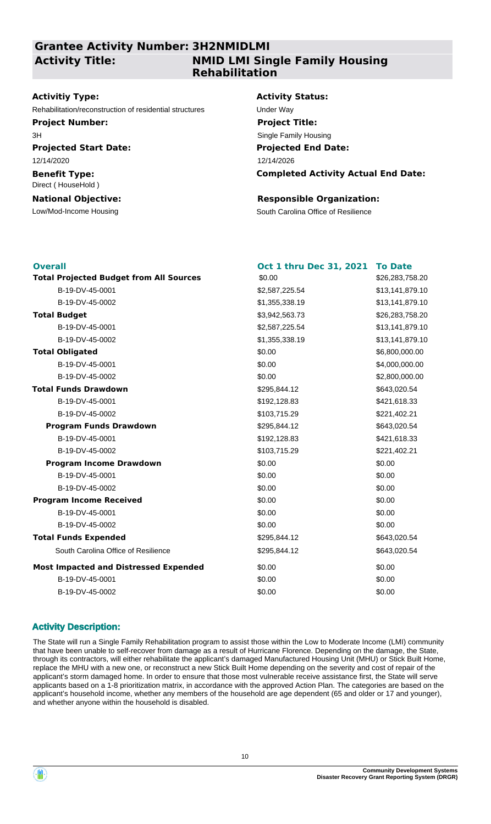### **Grantee Activity Number: 3H2NMIDLMI Activity Title:**

### **NMID LMI Single Family Housing Rehabilitation**

#### **Activitiy Type:**

Rehabilitation/reconstruction of residential structures Under Way

**Project Number:** 3H

**Projected Start Date:** 12/14/2020

#### **Benefit Type:** Direct ( HouseHold )

**National Objective:**

#### **Activity Status:**

**Projected End Date: Completed Activity Actual End Date:** 12/14/2026 **Project Title:** Single Family Housing

#### **Responsible Organization:**

Low/Mod-Income Housing The South Carolina Office of Resilience

| <b>Overall</b>                                 | Oct 1 thru Dec 31, 2021 | <b>To Date</b>  |
|------------------------------------------------|-------------------------|-----------------|
| <b>Total Projected Budget from All Sources</b> | \$0.00                  | \$26,283,758.20 |
| B-19-DV-45-0001                                | \$2,587,225.54          | \$13,141,879.10 |
| B-19-DV-45-0002                                | \$1,355,338.19          | \$13,141,879.10 |
| <b>Total Budget</b>                            | \$3,942,563.73          | \$26,283,758.20 |
| B-19-DV-45-0001                                | \$2,587,225.54          | \$13,141,879.10 |
| B-19-DV-45-0002                                | \$1,355,338.19          | \$13,141,879.10 |
| <b>Total Obligated</b>                         | \$0.00                  | \$6,800,000.00  |
| B-19-DV-45-0001                                | \$0.00                  | \$4,000,000.00  |
| B-19-DV-45-0002                                | \$0.00                  | \$2,800,000.00  |
| <b>Total Funds Drawdown</b>                    | \$295,844.12            | \$643,020.54    |
| B-19-DV-45-0001                                | \$192,128.83            | \$421,618.33    |
| B-19-DV-45-0002                                | \$103,715.29            | \$221,402.21    |
| <b>Program Funds Drawdown</b>                  | \$295,844.12            | \$643,020.54    |
| B-19-DV-45-0001                                | \$192,128.83            | \$421,618.33    |
| B-19-DV-45-0002                                | \$103,715.29            | \$221,402.21    |
| <b>Program Income Drawdown</b>                 | \$0.00                  | \$0.00          |
| B-19-DV-45-0001                                | \$0.00                  | \$0.00          |
| B-19-DV-45-0002                                | \$0.00                  | \$0.00          |
| <b>Program Income Received</b>                 | \$0.00                  | \$0.00          |
| B-19-DV-45-0001                                | \$0.00                  | \$0.00          |
| B-19-DV-45-0002                                | \$0.00                  | \$0.00          |
| <b>Total Funds Expended</b>                    | \$295,844.12            | \$643,020.54    |
| South Carolina Office of Resilience            | \$295,844.12            | \$643,020.54    |
| <b>Most Impacted and Distressed Expended</b>   | \$0.00                  | \$0.00          |
| B-19-DV-45-0001                                | \$0.00                  | \$0.00          |
| B-19-DV-45-0002                                | \$0.00                  | \$0.00          |

### **Activity Description:**

The State will run a Single Family Rehabilitation program to assist those within the Low to Moderate Income (LMI) community that have been unable to self-recover from damage as a result of Hurricane Florence. Depending on the damage, the State, through its contractors, will either rehabilitate the applicant's damaged Manufactured Housing Unit (MHU) or Stick Built Home, replace the MHU with a new one, or reconstruct a new Stick Built Home depending on the severity and cost of repair of the applicant's storm damaged home. In order to ensure that those most vulnerable receive assistance first, the State will serve applicants based on a 1-8 prioritization matrix, in accordance with the approved Action Plan. The categories are based on the applicant's household income, whether any members of the household are age dependent (65 and older or 17 and younger), and whether anyone within the household is disabled.

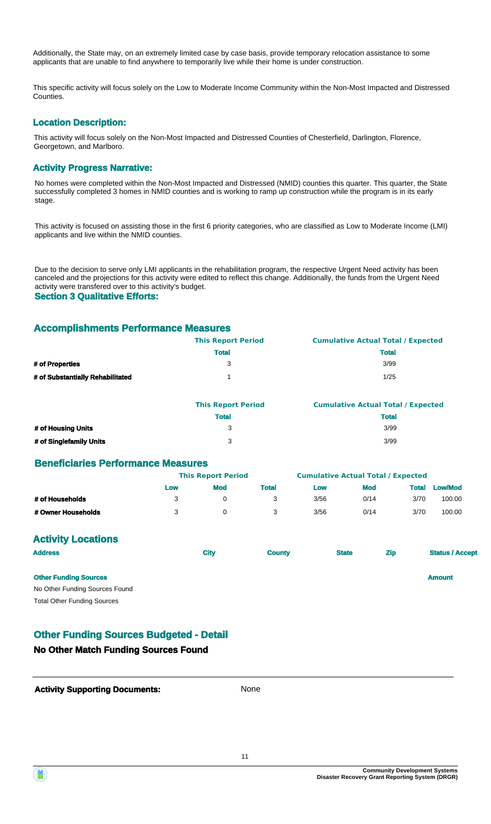Additionally, the State may, on an extremely limited case by case basis, provide temporary relocation assistance to some applicants that are unable to find anywhere to temporarily live while their home is under construction.

This specific activity will focus solely on the Low to Moderate Income Community within the Non-Most Impacted and Distressed Counties.

#### **Location Description:**

This activity will focus solely on the Non-Most Impacted and Distressed Counties of Chesterfield, Darlington, Florence, Georgetown, and Marlboro.

#### **Activity Progress Narrative:**

No homes were completed within the Non-Most Impacted and Distressed (NMID) counties this quarter. This quarter, the State successfully completed 3 homes in NMID counties and is working to ramp up construction while the program is in its early stage.

This activity is focused on assisting those in the first 6 priority categories, who are classified as Low to Moderate Income (LMI) applicants and live within the NMID counties.

Due to the decision to serve only LMI applicants in the rehabilitation program, the respective Urgent Need activity has been canceled and the projections for this activity were edited to reflect this change. Additionally, the funds from the Urgent Need activity were transfered over to this activity's budget. **Section 3 Qualitative Efforts:**

# **Accomplishments Performance Measures**

|                                  | <b>This Report Period</b> | <b>Cumulative Actual Total / Expected</b> |
|----------------------------------|---------------------------|-------------------------------------------|
|                                  | <b>Total</b>              | <b>Total</b>                              |
| # of Properties                  |                           | 3/99                                      |
| # of Substantially Rehabilitated |                           | 1/25                                      |

|                         | <b>This Report Period</b> | <b>Cumulative Actual Total / Expected</b> |
|-------------------------|---------------------------|-------------------------------------------|
|                         | <b>Total</b>              | <b>Total</b>                              |
| # of Housing Units      |                           | 3/99                                      |
| # of Singlefamily Units |                           | 3/99                                      |

#### **Beneficiaries Performance Measures**

|                    |     | <b>This Report Period</b> |       |      | <b>Cumulative Actual Total / Expected</b> |       |                |  |
|--------------------|-----|---------------------------|-------|------|-------------------------------------------|-------|----------------|--|
|                    | Low | Mod                       | Total | Low  | Mod                                       | Total | <b>Low/Mod</b> |  |
| # of Households    | 3   |                           |       | 3/56 | 0/14                                      | 3/70  | 100.00         |  |
| # Owner Households |     |                           |       | 3/56 | 0/14                                      | 3/70  | 100.00         |  |

### **Activity Locations**

| <b>Address</b>                     | <b>City</b> | <b>County</b> | <b>State</b> | <b>Zip</b> | <b>Status / Accept</b> |
|------------------------------------|-------------|---------------|--------------|------------|------------------------|
| <b>Other Funding Sources</b>       |             |               |              |            | <b>Amount</b>          |
| No Other Funding Sources Found     |             |               |              |            |                        |
| <b>Total Other Funding Sources</b> |             |               |              |            |                        |

### **Other Funding Sources Budgeted - Detail**

#### **No Other Match Funding Sources Found**

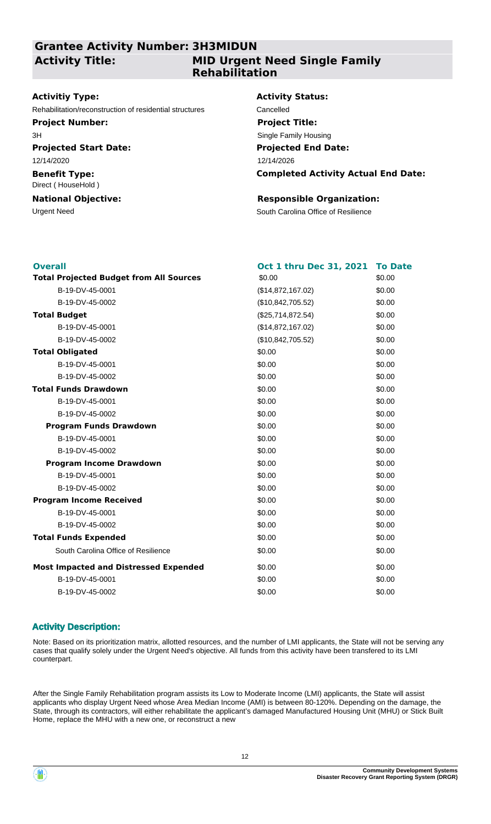### **Grantee Activity Number: 3H3MIDUN Activity Title:**

### **MID Urgent Need Single Family Rehabilitation**

#### **Activitiy Type:**

Rehabilitation/reconstruction of residential structures Cancelled

### **Project Number:**

**Projected Start Date:** 3H

12/14/2020

#### **Benefit Type:** Direct ( HouseHold )

## **National Objective:**

#### **Activity Status:**

**Projected End Date: Completed Activity Actual End Date:** 12/14/2026 **Project Title:** Single Family Housing

#### **Responsible Organization:**

Urgent Need **South Carolina Office of Resilience** 

| <b>Overall</b>                                 | Oct 1 thru Dec 31, 2021 | <b>To Date</b> |
|------------------------------------------------|-------------------------|----------------|
| <b>Total Projected Budget from All Sources</b> | \$0.00                  | \$0.00         |
| B-19-DV-45-0001                                | (\$14,872,167.02)       | \$0.00         |
| B-19-DV-45-0002                                | (\$10,842,705.52)       | \$0.00         |
| <b>Total Budget</b>                            | (\$25,714,872.54)       | \$0.00         |
| B-19-DV-45-0001                                | (\$14,872,167.02)       | \$0.00         |
| B-19-DV-45-0002                                | (\$10,842,705.52)       | \$0.00         |
| <b>Total Obligated</b>                         | \$0.00                  | \$0.00         |
| B-19-DV-45-0001                                | \$0.00                  | \$0.00         |
| B-19-DV-45-0002                                | \$0.00                  | \$0.00         |
| <b>Total Funds Drawdown</b>                    | \$0.00                  | \$0.00         |
| B-19-DV-45-0001                                | \$0.00                  | \$0.00         |
| B-19-DV-45-0002                                | \$0.00                  | \$0.00         |
| <b>Program Funds Drawdown</b>                  | \$0.00                  | \$0.00         |
| B-19-DV-45-0001                                | \$0.00                  | \$0.00         |
| B-19-DV-45-0002                                | \$0.00                  | \$0.00         |
| <b>Program Income Drawdown</b>                 | \$0.00                  | \$0.00         |
| B-19-DV-45-0001                                | \$0.00                  | \$0.00         |
| B-19-DV-45-0002                                | \$0.00                  | \$0.00         |
| <b>Program Income Received</b>                 | \$0.00                  | \$0.00         |
| B-19-DV-45-0001                                | \$0.00                  | \$0.00         |
| B-19-DV-45-0002                                | \$0.00                  | \$0.00         |
| <b>Total Funds Expended</b>                    | \$0.00                  | \$0.00         |
| South Carolina Office of Resilience            | \$0.00                  | \$0.00         |
| <b>Most Impacted and Distressed Expended</b>   | \$0.00                  | \$0.00         |
| B-19-DV-45-0001                                | \$0.00                  | \$0.00         |
| B-19-DV-45-0002                                | \$0.00                  | \$0.00         |

### **Activity Description:**

Note: Based on its prioritization matrix, allotted resources, and the number of LMI applicants, the State will not be serving any cases that qualify solely under the Urgent Need's objective. All funds from this activity have been transfered to its LMI counterpart.

After the Single Family Rehabilitation program assists its Low to Moderate Income (LMI) applicants, the State will assist applicants who display Urgent Need whose Area Median Income (AMI) is between 80-120%. Depending on the damage, the State, through its contractors, will either rehabilitate the applicant's damaged Manufactured Housing Unit (MHU) or Stick Built Home, replace the MHU with a new one, or reconstruct a new

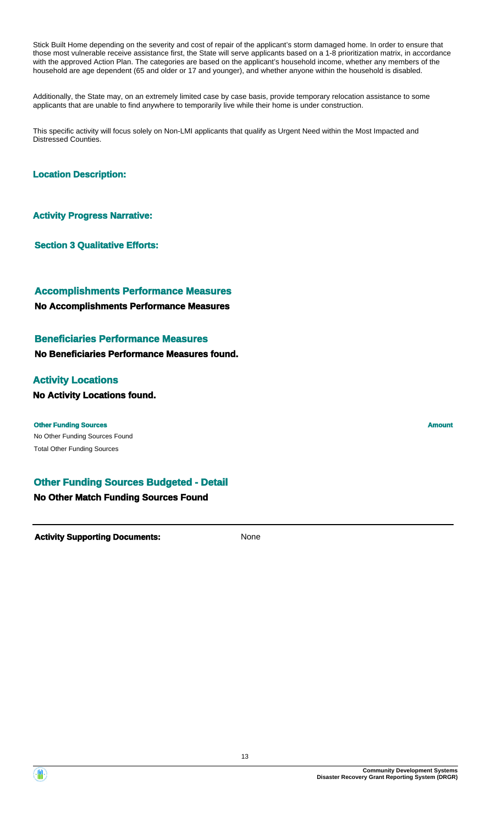Stick Built Home depending on the severity and cost of repair of the applicant's storm damaged home. In order to ensure that those most vulnerable receive assistance first, the State will serve applicants based on a 1-8 prioritization matrix, in accordance with the approved Action Plan. The categories are based on the applicant's household income, whether any members of the household are age dependent (65 and older or 17 and younger), and whether anyone within the household is disabled.

Additionally, the State may, on an extremely limited case by case basis, provide temporary relocation assistance to some applicants that are unable to find anywhere to temporarily live while their home is under construction.

This specific activity will focus solely on Non-LMI applicants that qualify as Urgent Need within the Most Impacted and Distressed Counties.

#### **Location Description:**

**Activity Progress Narrative:**

**Section 3 Qualitative Efforts:**

### **Accomplishments Performance Measures**

#### **No Accomplishments Performance Measures**

#### **Beneficiaries Performance Measures**

#### **No Beneficiaries Performance Measures found.**

#### **Activity Locations**

#### **No Activity Locations found.**

No Other Funding Sources Found **Other Funding Sources Amount Amount Amount Amount Amount Amount Amount** Total Other Funding Sources

### **Other Funding Sources Budgeted - Detail**

#### **No Other Match Funding Sources Found**

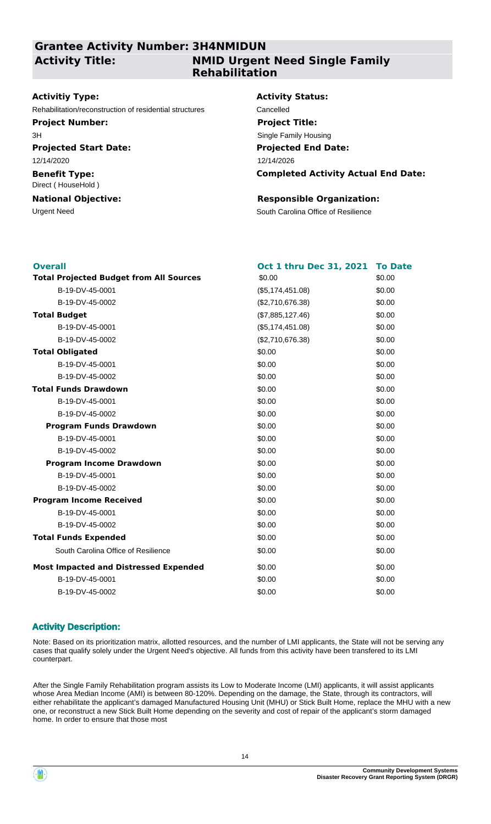### **Grantee Activity Number: 3H4NMIDUN Activity Title:**

### **NMID Urgent Need Single Family Rehabilitation**

#### **Activitiy Type:**

Rehabilitation/reconstruction of residential structures Cancelled

#### **Project Number:**

3H

### **Projected Start Date:**

12/14/2020

#### **Benefit Type:** Direct ( HouseHold )

### **National Objective:**

## **Activity Status:**

**Projected End Date: Completed Activity Actual End Date:** 12/14/2026 **Project Title:** Single Family Housing

#### **Responsible Organization:**

Urgent Need **South Carolina Office of Resilience** 

| <b>Overall</b>                                 | Oct 1 thru Dec 31, 2021 | <b>To Date</b> |
|------------------------------------------------|-------------------------|----------------|
| <b>Total Projected Budget from All Sources</b> | \$0.00                  | \$0.00         |
| B-19-DV-45-0001                                | (\$5,174,451.08)        | \$0.00         |
| B-19-DV-45-0002                                | (\$2,710,676.38)        | \$0.00         |
| <b>Total Budget</b>                            | (\$7,885,127.46)        | \$0.00         |
| B-19-DV-45-0001                                | (\$5,174,451.08)        | \$0.00         |
| B-19-DV-45-0002                                | (\$2,710,676.38)        | \$0.00         |
| <b>Total Obligated</b>                         | \$0.00                  | \$0.00         |
| B-19-DV-45-0001                                | \$0.00                  | \$0.00         |
| B-19-DV-45-0002                                | \$0.00                  | \$0.00         |
| <b>Total Funds Drawdown</b>                    | \$0.00                  | \$0.00         |
| B-19-DV-45-0001                                | \$0.00                  | \$0.00         |
| B-19-DV-45-0002                                | \$0.00                  | \$0.00         |
| <b>Program Funds Drawdown</b>                  | \$0.00                  | \$0.00         |
| B-19-DV-45-0001                                | \$0.00                  | \$0.00         |
| B-19-DV-45-0002                                | \$0.00                  | \$0.00         |
| <b>Program Income Drawdown</b>                 | \$0.00                  | \$0.00         |
| B-19-DV-45-0001                                | \$0.00                  | \$0.00         |
| B-19-DV-45-0002                                | \$0.00                  | \$0.00         |
| <b>Program Income Received</b>                 | \$0.00                  | \$0.00         |
| B-19-DV-45-0001                                | \$0.00                  | \$0.00         |
| B-19-DV-45-0002                                | \$0.00                  | \$0.00         |
| <b>Total Funds Expended</b>                    | \$0.00                  | \$0.00         |
| South Carolina Office of Resilience            | \$0.00                  | \$0.00         |
| <b>Most Impacted and Distressed Expended</b>   | \$0.00                  | \$0.00         |
| B-19-DV-45-0001                                | \$0.00                  | \$0.00         |
| B-19-DV-45-0002                                | \$0.00                  | \$0.00         |

### **Activity Description:**

Note: Based on its prioritization matrix, allotted resources, and the number of LMI applicants, the State will not be serving any cases that qualify solely under the Urgent Need's objective. All funds from this activity have been transfered to its LMI counterpart.

After the Single Family Rehabilitation program assists its Low to Moderate Income (LMI) applicants, it will assist applicants whose Area Median Income (AMI) is between 80-120%. Depending on the damage, the State, through its contractors, will either rehabilitate the applicant's damaged Manufactured Housing Unit (MHU) or Stick Built Home, replace the MHU with a new one, or reconstruct a new Stick Built Home depending on the severity and cost of repair of the applicant's storm damaged home. In order to ensure that those most

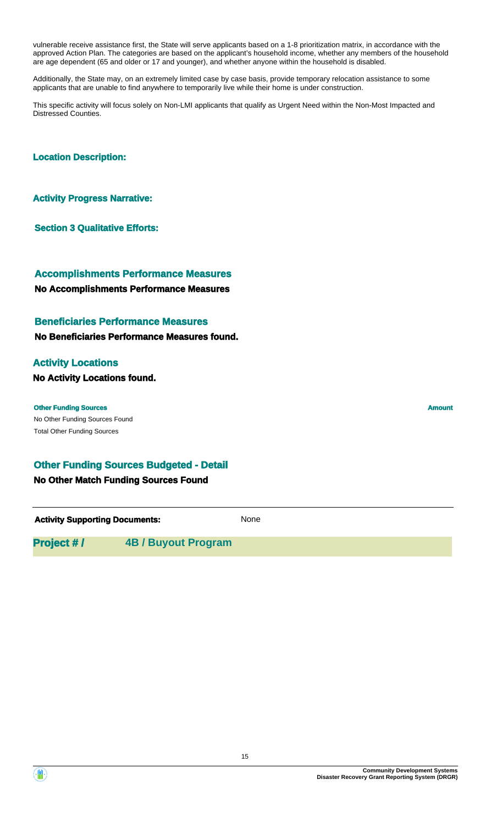vulnerable receive assistance first, the State will serve applicants based on a 1-8 prioritization matrix, in accordance with the approved Action Plan. The categories are based on the applicant's household income, whether any members of the household are age dependent (65 and older or 17 and younger), and whether anyone within the household is disabled.

Additionally, the State may, on an extremely limited case by case basis, provide temporary relocation assistance to some applicants that are unable to find anywhere to temporarily live while their home is under construction.

This specific activity will focus solely on Non-LMI applicants that qualify as Urgent Need within the Non-Most Impacted and Distressed Counties.

#### **Location Description:**

#### **Activity Progress Narrative:**

**Section 3 Qualitative Efforts:**

## **Accomplishments Performance Measures**

#### **No Accomplishments Performance Measures**

#### **Beneficiaries Performance Measures**

**No Beneficiaries Performance Measures found.**

#### **Activity Locations**

**No Activity Locations found.**

#### **Other Funding Sources Amount Amount Amount Amount Amount Amount Amount**

No Other Funding Sources Found Total Other Funding Sources

#### **Other Funding Sources Budgeted - Detail**

#### **No Other Match Funding Sources Found**

**Activity Supporting Documents:** None

### **Project # / 4B / Buyout Program**

**Community Development Systems Disaster Recovery Grant Reporting System (DRGR)**

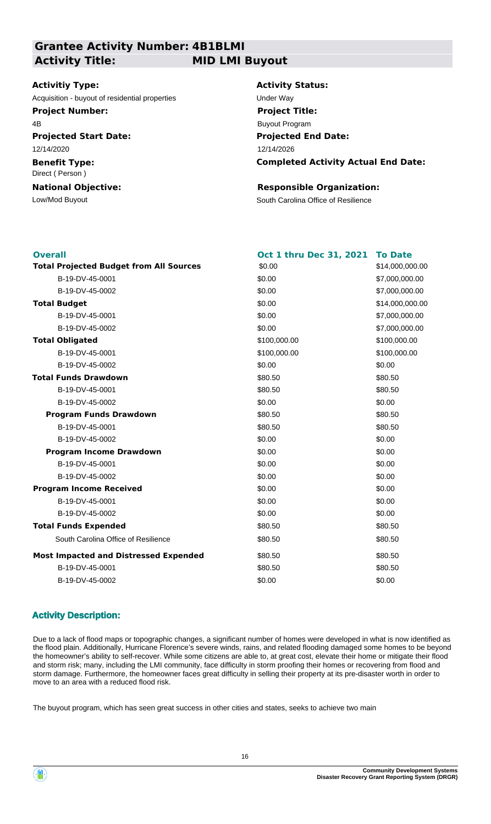**Grantee Activity Number: 4B1BLMI**

**Activity Title: MID LMI Buyout**

#### **Activitiy Type:**

Acquisition - buyout of residential properties **Exercise State State Under Way** 

#### **Project Number:**

4B

**Projected Start Date:** 12/14/2020

**Benefit Type:** Direct ( Person )

# **National Objective:**

### **Activity Status:**

**Projected End Date: Completed Activity Actual End Date:** 12/14/2026 **Project Title:** Buyout Program

### **Responsible Organization:**

Low/Mod Buyout **South Carolina Office of Resilience** 

| <b>Overall</b>                                 | <b>Oct 1 thru Dec 31, 2021</b> | <b>To Date</b>  |
|------------------------------------------------|--------------------------------|-----------------|
| <b>Total Projected Budget from All Sources</b> | \$0.00                         | \$14,000,000.00 |
| B-19-DV-45-0001                                | \$0.00                         | \$7,000,000.00  |
| B-19-DV-45-0002                                | \$0.00                         | \$7,000,000.00  |
| <b>Total Budget</b>                            | \$0.00                         | \$14,000,000.00 |
| B-19-DV-45-0001                                | \$0.00                         | \$7,000,000.00  |
| B-19-DV-45-0002                                | \$0.00                         | \$7,000,000.00  |
| <b>Total Obligated</b>                         | \$100,000.00                   | \$100,000.00    |
| B-19-DV-45-0001                                | \$100,000.00                   | \$100,000.00    |
| B-19-DV-45-0002                                | \$0.00                         | \$0.00          |
| <b>Total Funds Drawdown</b>                    | \$80.50                        | \$80.50         |
| B-19-DV-45-0001                                | \$80.50                        | \$80.50         |
| B-19-DV-45-0002                                | \$0.00                         | \$0.00          |
| <b>Program Funds Drawdown</b>                  | \$80.50                        | \$80.50         |
| B-19-DV-45-0001                                | \$80.50                        | \$80.50         |
| B-19-DV-45-0002                                | \$0.00                         | \$0.00          |
| <b>Program Income Drawdown</b>                 | \$0.00                         | \$0.00          |
| B-19-DV-45-0001                                | \$0.00                         | \$0.00          |
| B-19-DV-45-0002                                | \$0.00                         | \$0.00          |
| <b>Program Income Received</b>                 | \$0.00                         | \$0.00          |
| B-19-DV-45-0001                                | \$0.00                         | \$0.00          |
| B-19-DV-45-0002                                | \$0.00                         | \$0.00          |
| <b>Total Funds Expended</b>                    | \$80.50                        | \$80.50         |
| South Carolina Office of Resilience            | \$80.50                        | \$80.50         |
| <b>Most Impacted and Distressed Expended</b>   | \$80.50                        | \$80.50         |
| B-19-DV-45-0001                                | \$80.50                        | \$80.50         |
| B-19-DV-45-0002                                | \$0.00                         | \$0.00          |
|                                                |                                |                 |

### **Activity Description:**

Due to a lack of flood maps or topographic changes, a significant number of homes were developed in what is now identified as the flood plain. Additionally, Hurricane Florence's severe winds, rains, and related flooding damaged some homes to be beyond the homeowner's ability to self-recover. While some citizens are able to, at great cost, elevate their home or mitigate their flood and storm risk; many, including the LMI community, face difficulty in storm proofing their homes or recovering from flood and storm damage. Furthermore, the homeowner faces great difficulty in selling their property at its pre-disaster worth in order to move to an area with a reduced flood risk.

The buyout program, which has seen great success in other cities and states, seeks to achieve two main

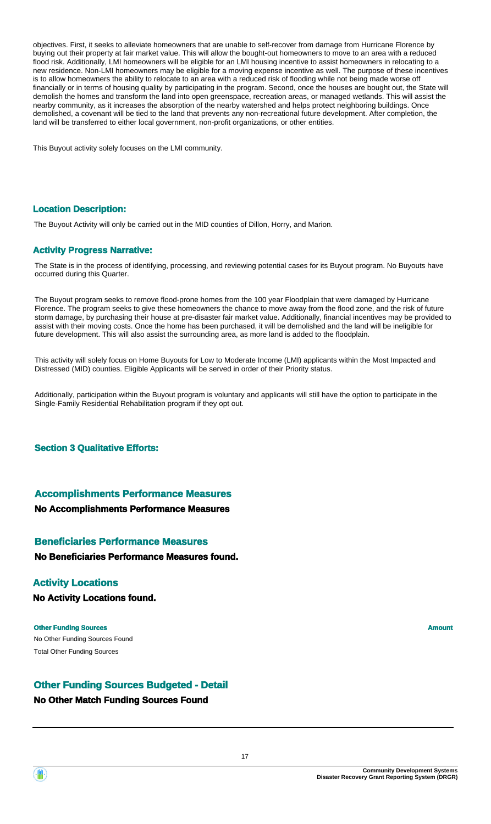objectives. First, it seeks to alleviate homeowners that are unable to self-recover from damage from Hurricane Florence by buying out their property at fair market value. This will allow the bought-out homeowners to move to an area with a reduced flood risk. Additionally, LMI homeowners will be eligible for an LMI housing incentive to assist homeowners in relocating to a new residence. Non-LMI homeowners may be eligible for a moving expense incentive as well. The purpose of these incentives is to allow homeowners the ability to relocate to an area with a reduced risk of flooding while not being made worse off financially or in terms of housing quality by participating in the program. Second, once the houses are bought out, the State will demolish the homes and transform the land into open greenspace, recreation areas, or managed wetlands. This will assist the nearby community, as it increases the absorption of the nearby watershed and helps protect neighboring buildings. Once demolished, a covenant will be tied to the land that prevents any non-recreational future development. After completion, the land will be transferred to either local government, non-profit organizations, or other entities.

This Buyout activity solely focuses on the LMI community.

#### **Location Description:**

The Buyout Activity will only be carried out in the MID counties of Dillon, Horry, and Marion.

#### **Activity Progress Narrative:**

The State is in the process of identifying, processing, and reviewing potential cases for its Buyout program. No Buyouts have occurred during this Quarter.

The Buyout program seeks to remove flood-prone homes from the 100 year Floodplain that were damaged by Hurricane Florence. The program seeks to give these homeowners the chance to move away from the flood zone, and the risk of future storm damage, by purchasing their house at pre-disaster fair market value. Additionally, financial incentives may be provided to assist with their moving costs. Once the home has been purchased, it will be demolished and the land will be ineligible for future development. This will also assist the surrounding area, as more land is added to the floodplain.

This activity will solely focus on Home Buyouts for Low to Moderate Income (LMI) applicants within the Most Impacted and Distressed (MID) counties. Eligible Applicants will be served in order of their Priority status.

Additionally, participation within the Buyout program is voluntary and applicants will still have the option to participate in the Single-Family Residential Rehabilitation program if they opt out.

**Section 3 Qualitative Efforts:**

#### **Accomplishments Performance Measures**

#### **No Accomplishments Performance Measures**

### **No Beneficiaries Performance Measures found. Beneficiaries Performance Measures**

#### **Activity Locations**

**No Activity Locations found.**

No Other Funding Sources Found **Other Funding Sources Amount Amount Amount Amount Amount Amount Amount** Total Other Funding Sources

**Other Funding Sources Budgeted - Detail**

#### **No Other Match Funding Sources Found**

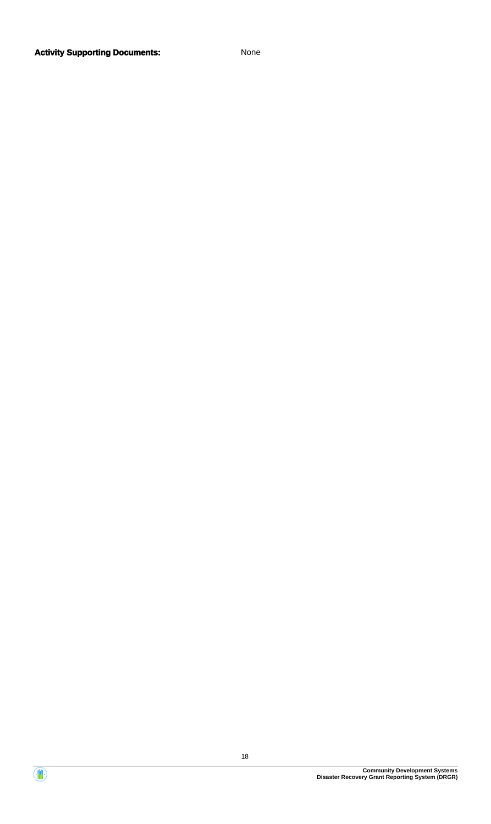

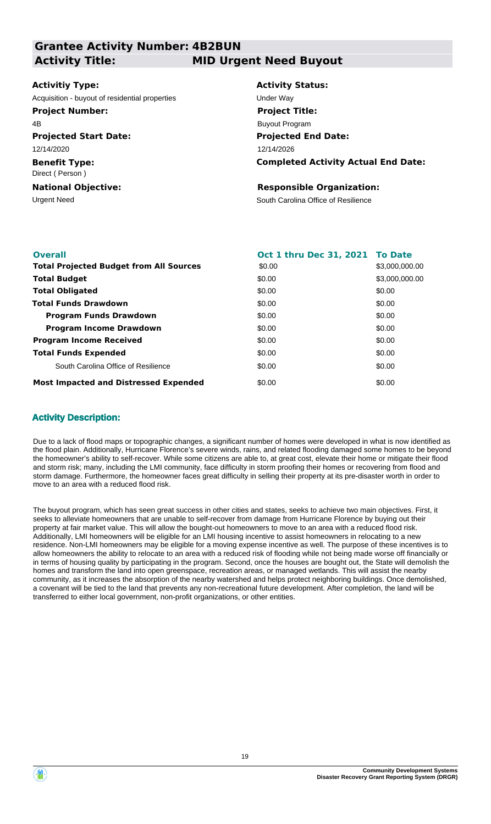**Grantee Activity Number: 4B2BUN Projected Start Date: Benefit Type:** Urgent Need **South Carolina Office of Resilience National Objective: Activity Status: Projected End Date: Completed Activity Actual End Date: Activitiy Type:** 12/14/2026 12/14/2020 Direct ( Person ) **Responsible Organization:** Acquisition - buyout of residential properties example of the Under Way **Activity Title: MID Urgent Need Buyout Project Number:** 4B **Project Title:** Buyout Program

| <b>Overall</b>                                 | Oct 1 thru Dec 31, 2021 To Date |                |
|------------------------------------------------|---------------------------------|----------------|
| <b>Total Projected Budget from All Sources</b> | \$0.00                          | \$3,000,000,00 |
| <b>Total Budget</b>                            | \$0.00                          | \$3,000,000,00 |
| <b>Total Obligated</b>                         | \$0.00                          | \$0.00         |
| <b>Total Funds Drawdown</b>                    | \$0.00                          | \$0.00         |
| <b>Program Funds Drawdown</b>                  | \$0.00                          | \$0.00         |
| <b>Program Income Drawdown</b>                 | \$0.00                          | \$0.00         |
| <b>Program Income Received</b>                 | \$0.00                          | \$0.00         |
| <b>Total Funds Expended</b>                    | \$0.00                          | \$0.00         |
| South Carolina Office of Resilience            | \$0.00                          | \$0.00         |
| <b>Most Impacted and Distressed Expended</b>   | \$0.00                          | \$0.00         |

#### **Activity Description:**

Due to a lack of flood maps or topographic changes, a significant number of homes were developed in what is now identified as the flood plain. Additionally, Hurricane Florence's severe winds, rains, and related flooding damaged some homes to be beyond the homeowner's ability to self-recover. While some citizens are able to, at great cost, elevate their home or mitigate their flood and storm risk; many, including the LMI community, face difficulty in storm proofing their homes or recovering from flood and storm damage. Furthermore, the homeowner faces great difficulty in selling their property at its pre-disaster worth in order to move to an area with a reduced flood risk.

The buyout program, which has seen great success in other cities and states, seeks to achieve two main objectives. First, it seeks to alleviate homeowners that are unable to self-recover from damage from Hurricane Florence by buying out their property at fair market value. This will allow the bought-out homeowners to move to an area with a reduced flood risk. Additionally, LMI homeowners will be eligible for an LMI housing incentive to assist homeowners in relocating to a new residence. Non-LMI homeowners may be eligible for a moving expense incentive as well. The purpose of these incentives is to allow homeowners the ability to relocate to an area with a reduced risk of flooding while not being made worse off financially or in terms of housing quality by participating in the program. Second, once the houses are bought out, the State will demolish the homes and transform the land into open greenspace, recreation areas, or managed wetlands. This will assist the nearby community, as it increases the absorption of the nearby watershed and helps protect neighboring buildings. Once demolished, a covenant will be tied to the land that prevents any non-recreational future development. After completion, the land will be transferred to either local government, non-profit organizations, or other entities.

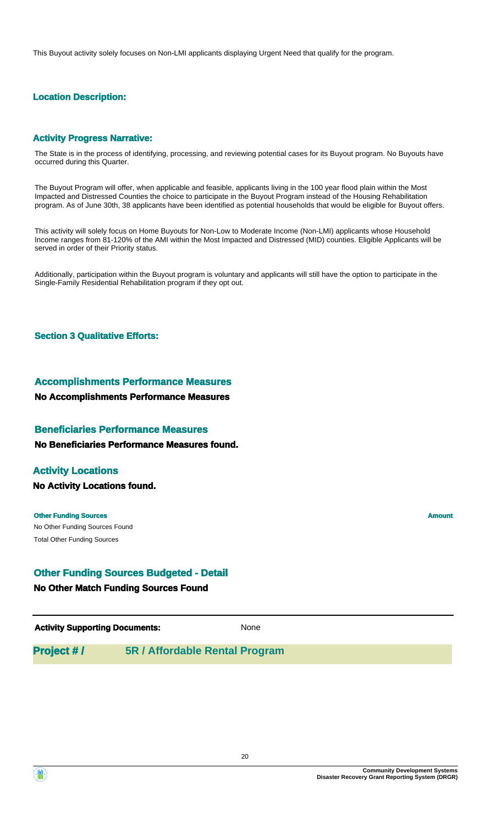This Buyout activity solely focuses on Non-LMI applicants displaying Urgent Need that qualify for the program.

### **Location Description:**

#### **Activity Progress Narrative:**

The State is in the process of identifying, processing, and reviewing potential cases for its Buyout program. No Buyouts have occurred during this Quarter.

The Buyout Program will offer, when applicable and feasible, applicants living in the 100 year flood plain within the Most Impacted and Distressed Counties the choice to participate in the Buyout Program instead of the Housing Rehabilitation program. As of June 30th, 38 applicants have been identified as potential households that would be eligible for Buyout offers.

This activity will solely focus on Home Buyouts for Non-Low to Moderate Income (Non-LMI) applicants whose Household Income ranges from 81-120% of the AMI within the Most Impacted and Distressed (MID) counties. Eligible Applicants will be served in order of their Priority status.

Additionally, participation within the Buyout program is voluntary and applicants will still have the option to participate in the Single-Family Residential Rehabilitation program if they opt out.

#### **Section 3 Qualitative Efforts:**

#### **Accomplishments Performance Measures**

#### **No Accomplishments Performance Measures**

#### **Beneficiaries Performance Measures**

#### **No Beneficiaries Performance Measures found.**

#### **Activity Locations**

**No Activity Locations found.**

No Other Funding Sources Found **Other Funding Sources Amount Amount Amount Amount Amount Amount Amount** Total Other Funding Sources

#### **Other Funding Sources Budgeted - Detail**

#### **No Other Match Funding Sources Found**

**Activity Supporting Documents:** None

### **Project # / 5R / Affordable Rental Program**

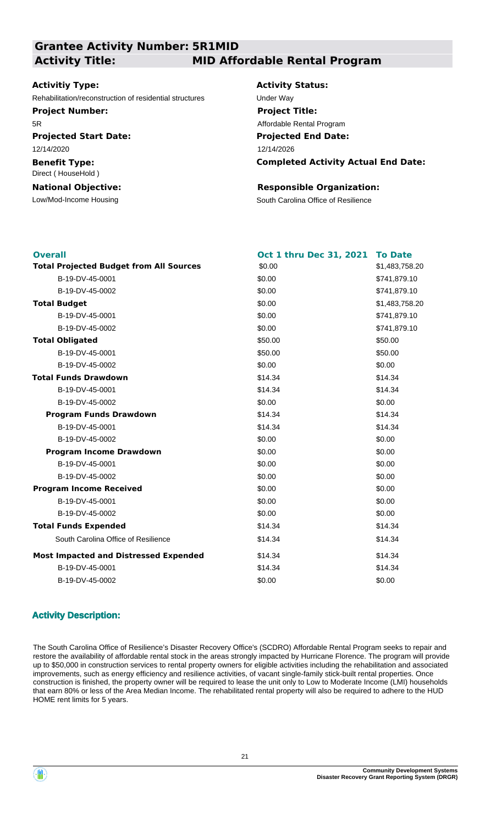**Grantee Activity Number: 5R1MID Activity Title: MID Affordable Rental Program**

#### **Activitiy Type:**

Rehabilitation/reconstruction of residential structures Under Way

**Project Number:**

5R

**Projected Start Date:** 12/14/2020

**Benefit Type:** Direct ( HouseHold )

#### **National Objective:**

# **Activity Status: Project Title:**

Affordable Rental Program

**Projected End Date:** 12/14/2026

**Completed Activity Actual End Date:**

### **Responsible Organization:**

Low/Mod-Income Housing The South Carolina Office of Resilience

| <b>Overall</b>                                 | Oct 1 thru Dec 31, 2021 | <b>To Date</b> |
|------------------------------------------------|-------------------------|----------------|
| <b>Total Projected Budget from All Sources</b> | \$0.00                  | \$1,483,758.20 |
| B-19-DV-45-0001                                | \$0.00                  | \$741,879.10   |
| B-19-DV-45-0002                                | \$0.00                  | \$741,879.10   |
| <b>Total Budget</b>                            | \$0.00                  | \$1,483,758.20 |
| B-19-DV-45-0001                                | \$0.00                  | \$741,879.10   |
| B-19-DV-45-0002                                | \$0.00                  | \$741,879.10   |
| <b>Total Obligated</b>                         | \$50.00                 | \$50.00        |
| B-19-DV-45-0001                                | \$50.00                 | \$50.00        |
| B-19-DV-45-0002                                | \$0.00                  | \$0.00         |
| <b>Total Funds Drawdown</b>                    | \$14.34                 | \$14.34        |
| B-19-DV-45-0001                                | \$14.34                 | \$14.34        |
| B-19-DV-45-0002                                | \$0.00                  | \$0.00         |
| <b>Program Funds Drawdown</b>                  | \$14.34                 | \$14.34        |
| B-19-DV-45-0001                                | \$14.34                 | \$14.34        |
| B-19-DV-45-0002                                | \$0.00                  | \$0.00         |
| <b>Program Income Drawdown</b>                 | \$0.00                  | \$0.00         |
| B-19-DV-45-0001                                | \$0.00                  | \$0.00         |
| B-19-DV-45-0002                                | \$0.00                  | \$0.00         |
| <b>Program Income Received</b>                 | \$0.00                  | \$0.00         |
| B-19-DV-45-0001                                | \$0.00                  | \$0.00         |
| B-19-DV-45-0002                                | \$0.00                  | \$0.00         |
| <b>Total Funds Expended</b>                    | \$14.34                 | \$14.34        |
| South Carolina Office of Resilience            | \$14.34                 | \$14.34        |
| <b>Most Impacted and Distressed Expended</b>   | \$14.34                 | \$14.34        |
| B-19-DV-45-0001                                | \$14.34                 | \$14.34        |
| B-19-DV-45-0002                                | \$0.00                  | \$0.00         |
|                                                |                         |                |

#### **Activity Description:**

The South Carolina Office of Resilience's Disaster Recovery Office's (SCDRO) Affordable Rental Program seeks to repair and restore the availability of affordable rental stock in the areas strongly impacted by Hurricane Florence. The program will provide up to \$50,000 in construction services to rental property owners for eligible activities including the rehabilitation and associated improvements, such as energy efficiency and resilience activities, of vacant single-family stick-built rental properties. Once construction is finished, the property owner will be required to lease the unit only to Low to Moderate Income (LMI) households that earn 80% or less of the Area Median Income. The rehabilitated rental property will also be required to adhere to the HUD HOME rent limits for 5 years.

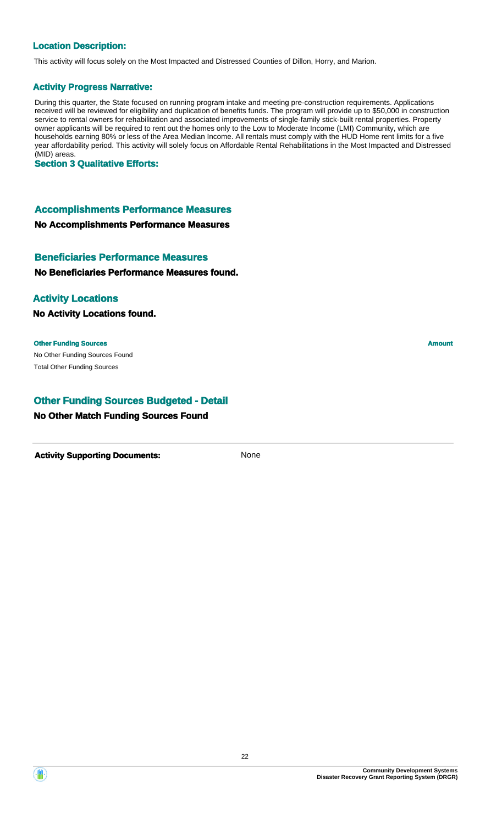#### **Location Description:**

This activity will focus solely on the Most Impacted and Distressed Counties of Dillon, Horry, and Marion.

#### **Activity Progress Narrative:**

During this quarter, the State focused on running program intake and meeting pre-construction requirements. Applications received will be reviewed for eligibility and duplication of benefits funds. The program will provide up to \$50,000 in construction service to rental owners for rehabilitation and associated improvements of single-family stick-built rental properties. Property owner applicants will be required to rent out the homes only to the Low to Moderate Income (LMI) Community, which are households earning 80% or less of the Area Median Income. All rentals must comply with the HUD Home rent limits for a five year affordability period. This activity will solely focus on Affordable Rental Rehabilitations in the Most Impacted and Distressed (MID) areas.

**Section 3 Qualitative Efforts:**

#### **Accomplishments Performance Measures**

**No Accomplishments Performance Measures**

### **Beneficiaries Performance Measures**

**No Beneficiaries Performance Measures found.**

#### **Activity Locations**

**No Activity Locations found.**

No Other Funding Sources Found **Other Funding Sources Amount** Total Other Funding Sources

### **Other Funding Sources Budgeted - Detail**

#### **No Other Match Funding Sources Found**

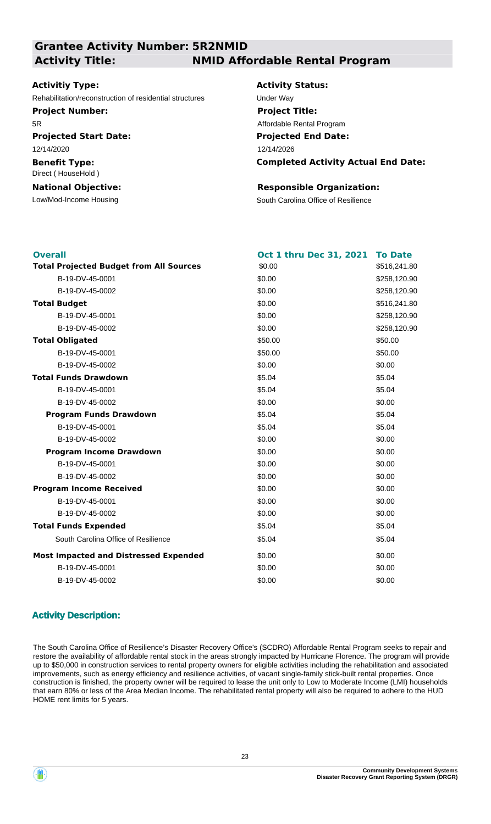### **Grantee Activity Number: 5R2NMID Activity Title: NMID Affordable Rental Program**

#### **Activitiy Type:**

Rehabilitation/reconstruction of residential structures Under Way

**Project Number:**

5R

**Projected Start Date:** 12/14/2020

**Benefit Type:** Direct ( HouseHold )

#### **National Objective:**

**Activity Status: Projected End Date: Completed Activity Actual End Date:** 12/14/2026 **Project Title:** Affordable Rental Program

#### **Responsible Organization:**

Low/Mod-Income Housing The South Carolina Office of Resilience

| <b>Overall</b>                                 | <b>Oct 1 thru Dec 31, 2021</b> | <b>To Date</b> |
|------------------------------------------------|--------------------------------|----------------|
| <b>Total Projected Budget from All Sources</b> | \$0.00                         | \$516,241.80   |
| B-19-DV-45-0001                                | \$0.00                         | \$258,120.90   |
| B-19-DV-45-0002                                | \$0.00                         | \$258,120.90   |
| <b>Total Budget</b>                            | \$0.00                         | \$516,241.80   |
| B-19-DV-45-0001                                | \$0.00                         | \$258,120.90   |
| B-19-DV-45-0002                                | \$0.00                         | \$258,120.90   |
| <b>Total Obligated</b>                         | \$50.00                        | \$50.00        |
| B-19-DV-45-0001                                | \$50.00                        | \$50.00        |
| B-19-DV-45-0002                                | \$0.00                         | \$0.00         |
| <b>Total Funds Drawdown</b>                    | \$5.04                         | \$5.04         |
| B-19-DV-45-0001                                | \$5.04                         | \$5.04         |
| B-19-DV-45-0002                                | \$0.00                         | \$0.00         |
| <b>Program Funds Drawdown</b>                  | \$5.04                         | \$5.04         |
| B-19-DV-45-0001                                | \$5.04                         | \$5.04         |
| B-19-DV-45-0002                                | \$0.00                         | \$0.00         |
| <b>Program Income Drawdown</b>                 | \$0.00                         | \$0.00         |
| B-19-DV-45-0001                                | \$0.00                         | \$0.00         |
| B-19-DV-45-0002                                | \$0.00                         | \$0.00         |
| <b>Program Income Received</b>                 | \$0.00                         | \$0.00         |
| B-19-DV-45-0001                                | \$0.00                         | \$0.00         |
| B-19-DV-45-0002                                | \$0.00                         | \$0.00         |
| <b>Total Funds Expended</b>                    | \$5.04                         | \$5.04         |
| South Carolina Office of Resilience            | \$5.04                         | \$5.04         |
| <b>Most Impacted and Distressed Expended</b>   | \$0.00                         | \$0.00         |
| B-19-DV-45-0001                                | \$0.00                         | \$0.00         |
| B-19-DV-45-0002                                | \$0.00                         | \$0.00         |
|                                                |                                |                |

### **Activity Description:**

The South Carolina Office of Resilience's Disaster Recovery Office's (SCDRO) Affordable Rental Program seeks to repair and restore the availability of affordable rental stock in the areas strongly impacted by Hurricane Florence. The program will provide up to \$50,000 in construction services to rental property owners for eligible activities including the rehabilitation and associated improvements, such as energy efficiency and resilience activities, of vacant single-family stick-built rental properties. Once construction is finished, the property owner will be required to lease the unit only to Low to Moderate Income (LMI) households that earn 80% or less of the Area Median Income. The rehabilitated rental property will also be required to adhere to the HUD HOME rent limits for 5 years.